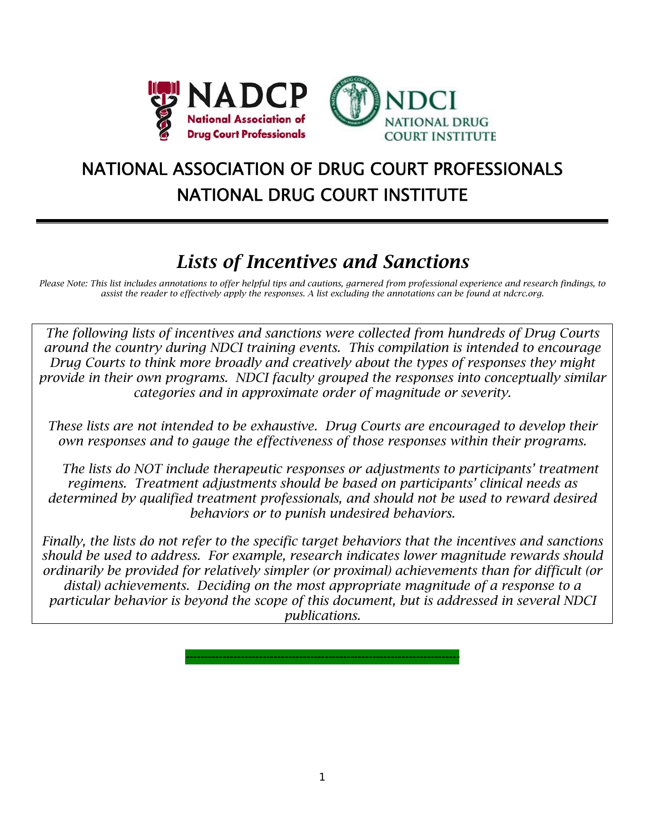

# NATIONAL ASSOCIATION OF DRUG COURT PROFESSIONALS NATIONAL DRUG COURT INSTITUTE

## *Lists of Incentives and Sanctions*

*Please Note: This list includes annotations to offer helpful tips and cautions, garnered from professional experience and research findings, to assist the reader to effectively apply the responses. A list excluding the annotations can be found at ndcrc.org.* 

*The following lists of incentives and sanctions were collected from hundreds of Drug Courts around the country during NDCI training events. This compilation is intended to encourage Drug Courts to think more broadly and creatively about the types of responses they might provide in their own programs. NDCI faculty grouped the responses into conceptually similar categories and in approximate order of magnitude or severity.* 

*These lists are not intended to be exhaustive. Drug Courts are encouraged to develop their own responses and to gauge the effectiveness of those responses within their programs.* 

 *The lists do NOT include therapeutic responses or adjustments to participants' treatment regimens. Treatment adjustments should be based on participants' clinical needs as determined by qualified treatment professionals, and should not be used to reward desired behaviors or to punish undesired behaviors.* 

*Finally, the lists do not refer to the specific target behaviors that the incentives and sanctions should be used to address. For example, research indicates lower magnitude rewards should ordinarily be provided for relatively simpler (or proximal) achievements than for difficult (or distal) achievements. Deciding on the most appropriate magnitude of a response to a particular behavior is beyond the scope of this document, but is addressed in several NDCI publications.* 

*---------------------------------------------------------------------------*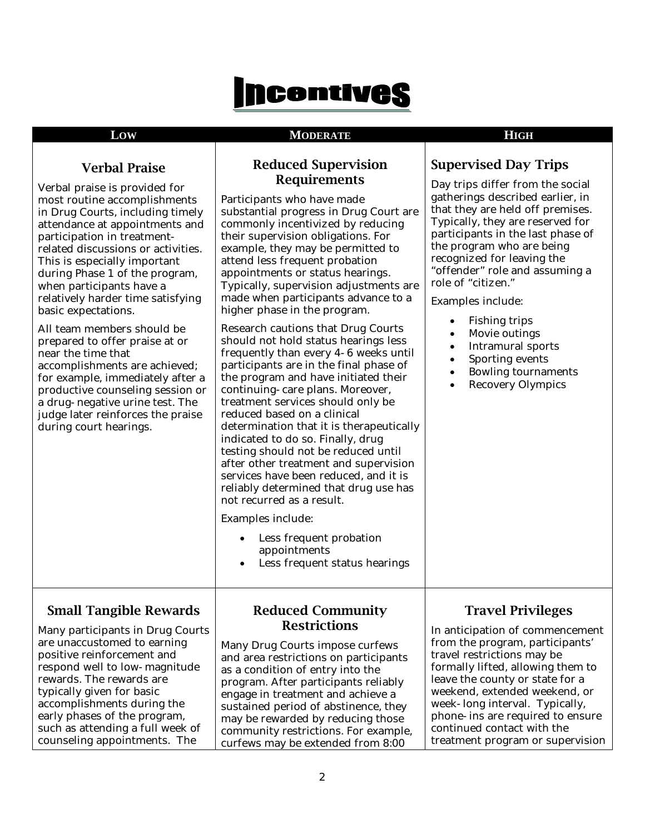# **Incentives**

### **LOW MODERATE HIGH**

**Reduced Supervision** 

**Supervised Day Trips** 

## **Verbal Praise**

| Verbal praise is provided for<br>most routine accomplishments<br>in Drug Courts, including timely<br>attendance at appointments and<br>participation in treatment-<br>related discussions or activities.<br>This is especially important<br>during Phase 1 of the program,<br>when participants have a<br>relatively harder time satisfying<br>basic expectations.<br>All team members should be<br>prepared to offer praise at or<br>near the time that<br>accomplishments are achieved;<br>for example, immediately after a<br>productive counseling session or<br>a drug-negative urine test. The<br>judge later reinforces the praise<br>during court hearings. | <b>Requirements</b><br>Participants who have made<br>substantial progress in Drug Court are<br>commonly incentivized by reducing<br>their supervision obligations. For<br>example, they may be permitted to<br>attend less frequent probation<br>appointments or status hearings.<br>Typically, supervision adjustments are<br>made when participants advance to a<br>higher phase in the program.<br><b>Research cautions that Drug Courts</b><br>should not hold status hearings less<br>frequently than every 4-6 weeks until<br>participants are in the final phase of<br>the program and have initiated their<br>continuing-care plans. Moreover,<br>treatment services should only be<br>reduced based on a clinical<br>determination that it is therapeutically<br>indicated to do so. Finally, drug<br>testing should not be reduced until<br>after other treatment and supervision<br>services have been reduced, and it is<br>reliably determined that drug use has<br>not recurred as a result.<br>Examples include: | Day trips differ from the social<br>gatherings described earlier, in<br>that they are held off premises.<br>Typically, they are reserved for<br>participants in the last phase of<br>the program who are being<br>recognized for leaving the<br>"offender" role and assuming a<br>role of "citizen."<br>Examples include:<br><b>Fishing trips</b><br>$\bullet$<br>Movie outings<br>٠<br><b>Intramural sports</b><br>$\bullet$<br>Sporting events<br>$\bullet$<br><b>Bowling tournaments</b><br>$\bullet$<br><b>Recovery Olympics</b><br>$\bullet$ |
|---------------------------------------------------------------------------------------------------------------------------------------------------------------------------------------------------------------------------------------------------------------------------------------------------------------------------------------------------------------------------------------------------------------------------------------------------------------------------------------------------------------------------------------------------------------------------------------------------------------------------------------------------------------------|---------------------------------------------------------------------------------------------------------------------------------------------------------------------------------------------------------------------------------------------------------------------------------------------------------------------------------------------------------------------------------------------------------------------------------------------------------------------------------------------------------------------------------------------------------------------------------------------------------------------------------------------------------------------------------------------------------------------------------------------------------------------------------------------------------------------------------------------------------------------------------------------------------------------------------------------------------------------------------------------------------------------------------|---------------------------------------------------------------------------------------------------------------------------------------------------------------------------------------------------------------------------------------------------------------------------------------------------------------------------------------------------------------------------------------------------------------------------------------------------------------------------------------------------------------------------------------------------|
|                                                                                                                                                                                                                                                                                                                                                                                                                                                                                                                                                                                                                                                                     | Less frequent probation<br>appointments<br>Less frequent status hearings                                                                                                                                                                                                                                                                                                                                                                                                                                                                                                                                                                                                                                                                                                                                                                                                                                                                                                                                                        |                                                                                                                                                                                                                                                                                                                                                                                                                                                                                                                                                   |
| <b>Small Tangible Rewards</b><br>Many participants in Drug Courts<br>are unaccustomed to earning<br>positive reinforcement and<br>respond well to low-magnitude<br>rewards. The rewards are<br>typically given for basic<br>accomplishments during the                                                                                                                                                                                                                                                                                                                                                                                                              | <b>Reduced Community</b><br><b>Restrictions</b><br>Many Drug Courts impose curfews<br>and area restrictions on participants<br>as a condition of entry into the<br>program. After participants reliably<br>engage in treatment and achieve a                                                                                                                                                                                                                                                                                                                                                                                                                                                                                                                                                                                                                                                                                                                                                                                    | <b>Travel Privileges</b><br>In anticipation of commencement<br>from the program, participants'<br>travel restrictions may be<br>formally lifted, allowing them to<br>leave the county or state for a<br>weekend, extended weekend, or<br>week-long interval. Typically,                                                                                                                                                                                                                                                                           |
| early phases of the program,<br>such as attending a full week of<br>counseling appointments. The                                                                                                                                                                                                                                                                                                                                                                                                                                                                                                                                                                    | sustained period of abstinence, they<br>may be rewarded by reducing those<br>community restrictions. For example,<br>curfews may be extended from 8:00                                                                                                                                                                                                                                                                                                                                                                                                                                                                                                                                                                                                                                                                                                                                                                                                                                                                          | phone- ins are required to ensure<br>continued contact with the<br>treatment program or supervision                                                                                                                                                                                                                                                                                                                                                                                                                                               |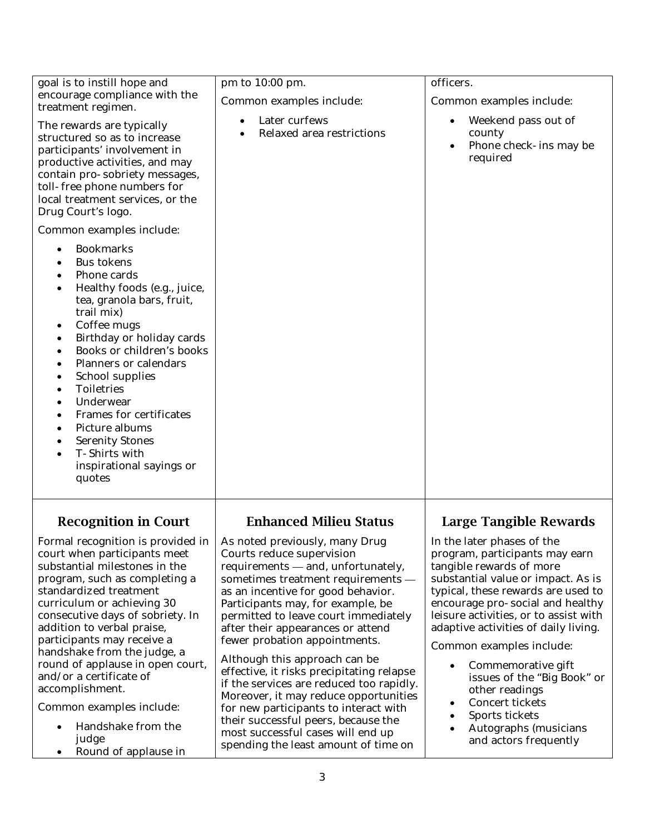| goal is to instill hope and<br>encourage compliance with the<br>treatment regimen.<br>The rewards are typically<br>structured so as to increase<br>participants' involvement in<br>productive activities, and may<br>contain pro-sobriety messages,<br>toll-free phone numbers for<br>local treatment services, or the<br>Drug Court's logo.                                                                                                                                                                                                                      | pm to 10:00 pm.<br>Common examples include:<br>Later curfews<br><b>Relaxed area restrictions</b>                                                                                                                                                                                                                                                                                                                                                                                                                                                                                                                                                                | officers.<br>Common examples include:<br>Weekend pass out of<br>county<br>Phone check-ins may be<br>required                                                                                                                                                                                                                                                                                                                                                                                                  |
|-------------------------------------------------------------------------------------------------------------------------------------------------------------------------------------------------------------------------------------------------------------------------------------------------------------------------------------------------------------------------------------------------------------------------------------------------------------------------------------------------------------------------------------------------------------------|-----------------------------------------------------------------------------------------------------------------------------------------------------------------------------------------------------------------------------------------------------------------------------------------------------------------------------------------------------------------------------------------------------------------------------------------------------------------------------------------------------------------------------------------------------------------------------------------------------------------------------------------------------------------|---------------------------------------------------------------------------------------------------------------------------------------------------------------------------------------------------------------------------------------------------------------------------------------------------------------------------------------------------------------------------------------------------------------------------------------------------------------------------------------------------------------|
| Common examples include:<br><b>Bookmarks</b><br>$\bullet$<br><b>Bus tokens</b><br>Phone cards<br>Healthy foods (e.g., juice,<br>tea, granola bars, fruit,<br>trail mix)<br>Coffee mugs<br>$\bullet$<br>Birthday or holiday cards<br>$\bullet$<br>Books or children's books<br><b>Planners or calendars</b><br><b>School supplies</b><br><b>Toiletries</b><br>Underwear<br><b>Frames for certificates</b><br>Picture albums<br><b>Serenity Stones</b><br>T-Shirts with<br>inspirational sayings or<br>quotes                                                       |                                                                                                                                                                                                                                                                                                                                                                                                                                                                                                                                                                                                                                                                 |                                                                                                                                                                                                                                                                                                                                                                                                                                                                                                               |
| <b>Recognition in Court</b><br>Formal recognition is provided in $ $ As noted previously, many Drug<br>court when participants meet<br>substantial milestones in the<br>program, such as completing a<br>standardized treatment<br>curriculum or achieving 30<br>consecutive days of sobriety. In<br>addition to verbal praise,<br>participants may receive a<br>handshake from the judge, a<br>round of applause in open court,<br>and/or a certificate of<br>accomplishment.<br>Common examples include:<br>Handshake from the<br>judge<br>Round of applause in | <b>Enhanced Milieu Status</b><br>Courts reduce supervision<br>requirements - and, unfortunately,<br>sometimes treatment requirements -<br>as an incentive for good behavior.<br>Participants may, for example, be<br>permitted to leave court immediately<br>after their appearances or attend<br>fewer probation appointments.<br>Although this approach can be<br>effective, it risks precipitating relapse<br>if the services are reduced too rapidly.<br>Moreover, it may reduce opportunities<br>for new participants to interact with<br>their successful peers, because the<br>most successful cases will end up<br>spending the least amount of time on | Large Tangible Rewards<br>In the later phases of the<br>program, participants may earn<br>tangible rewards of more<br>substantial value or impact. As is<br>typical, these rewards are used to<br>encourage pro-social and healthy<br>leisure activities, or to assist with<br>adaptive activities of daily living.<br>Common examples include:<br>Commemorative gift<br>issues of the "Big Book" or<br>other readings<br>Concert tickets<br>Sports tickets<br>Autographs (musicians<br>and actors frequently |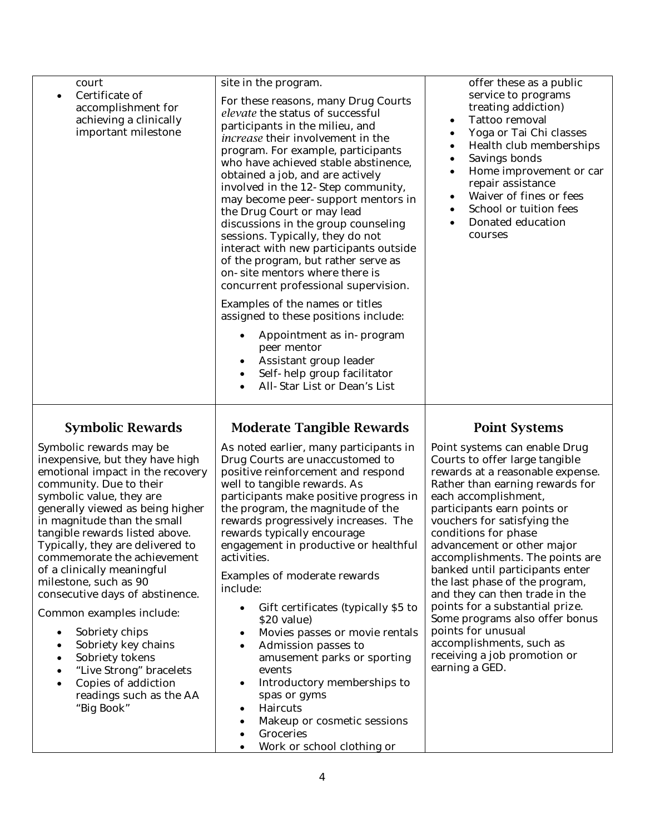| court<br>Certificate of<br>$\bullet$<br>accomplishment for<br>achieving a clinically<br>important milestone                                                                                                                                                                                                                                                                                                                                                                                                                                                                                                                                                                                            | site in the program.<br>For these reasons, many Drug Courts<br>elevate the status of successful<br>participants in the milieu, and<br><i>increase</i> their involvement in the<br>program. For example, participants<br>who have achieved stable abstinence,<br>obtained a job, and are actively<br>involved in the 12-Step community,<br>may become peer-support mentors in<br>the Drug Court or may lead<br>discussions in the group counseling<br>sessions. Typically, they do not<br>interact with new participants outside<br>of the program, but rather serve as<br>on-site mentors where there is<br>concurrent professional supervision.<br>Examples of the names or titles<br>assigned to these positions include:<br>Appointment as in-program<br>peer mentor<br>Assistant group leader<br>Self-help group facilitator      | offer these as a public<br>service to programs<br>treating addiction)<br>Tattoo removal<br>$\bullet$<br>Yoga or Tai Chi classes<br>٠<br>Health club memberships<br>Savings bonds<br>٠<br>Home improvement or car<br>٠<br>repair assistance<br>Waiver of fines or fees<br>٠<br>School or tuition fees<br>$\bullet$<br>Donated education<br>$\bullet$<br>courses                                                                                                                                                                                                                                                                |
|--------------------------------------------------------------------------------------------------------------------------------------------------------------------------------------------------------------------------------------------------------------------------------------------------------------------------------------------------------------------------------------------------------------------------------------------------------------------------------------------------------------------------------------------------------------------------------------------------------------------------------------------------------------------------------------------------------|---------------------------------------------------------------------------------------------------------------------------------------------------------------------------------------------------------------------------------------------------------------------------------------------------------------------------------------------------------------------------------------------------------------------------------------------------------------------------------------------------------------------------------------------------------------------------------------------------------------------------------------------------------------------------------------------------------------------------------------------------------------------------------------------------------------------------------------|-------------------------------------------------------------------------------------------------------------------------------------------------------------------------------------------------------------------------------------------------------------------------------------------------------------------------------------------------------------------------------------------------------------------------------------------------------------------------------------------------------------------------------------------------------------------------------------------------------------------------------|
|                                                                                                                                                                                                                                                                                                                                                                                                                                                                                                                                                                                                                                                                                                        | All-Star List or Dean's List                                                                                                                                                                                                                                                                                                                                                                                                                                                                                                                                                                                                                                                                                                                                                                                                          |                                                                                                                                                                                                                                                                                                                                                                                                                                                                                                                                                                                                                               |
| <b>Symbolic Rewards</b><br>Symbolic rewards may be<br>inexpensive, but they have high<br>emotional impact in the recovery<br>community. Due to their<br>symbolic value, they are<br>generally viewed as being higher<br>in magnitude than the small<br>tangible rewards listed above.<br>Typically, they are delivered to<br>commemorate the achievement<br>of a clinically meaningful<br>milestone, such as 90<br>consecutive days of abstinence.<br>Common examples include:<br>Sobriety chips<br>$\bullet$<br>Sobriety key chains<br>$\bullet$<br>Sobriety tokens<br>$\bullet$<br>"Live Strong" bracelets<br>$\bullet$<br>Copies of addiction<br>$\bullet$<br>readings such as the AA<br>"Big Book" | <b>Moderate Tangible Rewards</b><br>As noted earlier, many participants in<br>Drug Courts are unaccustomed to<br>positive reinforcement and respond<br>well to tangible rewards. As<br>participants make positive progress in<br>the program, the magnitude of the<br>rewards progressively increases. The<br>rewards typically encourage<br>engagement in productive or healthful<br>activities.<br>Examples of moderate rewards<br>include:<br>Gift certificates (typically \$5 to<br>\$20 value)<br>Movies passes or movie rentals<br>$\bullet$<br>Admission passes to<br>$\bullet$<br>amusement parks or sporting<br>events<br>Introductory memberships to<br>$\bullet$<br>spas or gyms<br>Haircuts<br>$\bullet$<br>Makeup or cosmetic sessions<br>$\bullet$<br>Groceries<br>$\bullet$<br>Work or school clothing or<br>$\bullet$ | <b>Point Systems</b><br>Point systems can enable Drug<br>Courts to offer large tangible<br>rewards at a reasonable expense.<br>Rather than earning rewards for<br>each accomplishment,<br>participants earn points or<br>vouchers for satisfying the<br>conditions for phase<br>advancement or other major<br>accomplishments. The points are<br>banked until participants enter<br>the last phase of the program,<br>and they can then trade in the<br>points for a substantial prize.<br>Some programs also offer bonus<br>points for unusual<br>accomplishments, such as<br>receiving a job promotion or<br>earning a GED. |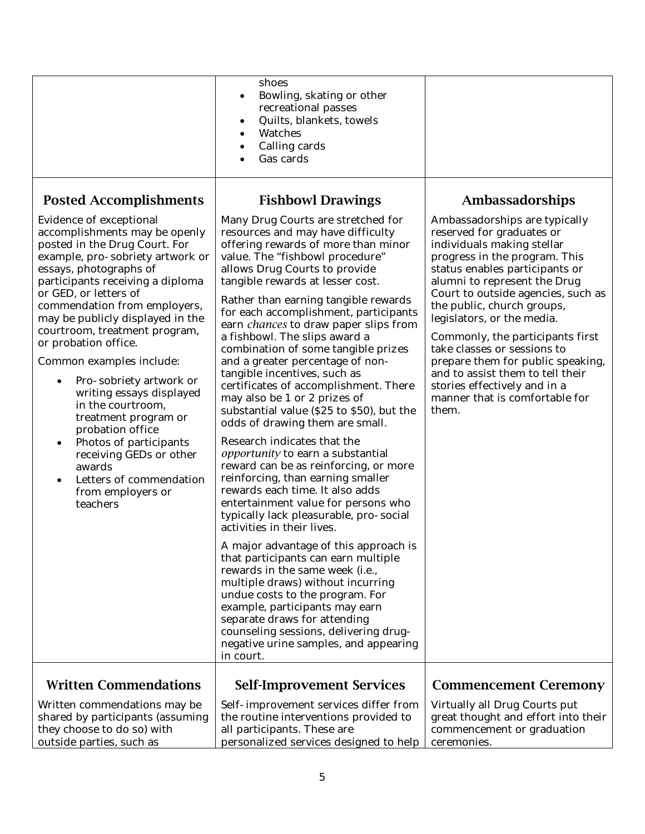|                                                                                                                                                                                                                                                                                                                                                                                                                                                                                                                                                                                                                                                                                                                 | shoes<br>Bowling, skating or other<br>$\bullet$<br>recreational passes<br>Quilts, blankets, towels<br>٠<br><b>Watches</b><br>$\bullet$<br>Calling cards<br>٠<br>Gas cards                                                                                                                                                                                                                                                                                                                                                                                                                                                                                                                                                                                                                                                                                                                                                                                                                                                                                                                                                                                                                                                                                                                                                                                |                                                                                                                                                                                                                                                                                                                                                                                                                                                                                                                                         |
|-----------------------------------------------------------------------------------------------------------------------------------------------------------------------------------------------------------------------------------------------------------------------------------------------------------------------------------------------------------------------------------------------------------------------------------------------------------------------------------------------------------------------------------------------------------------------------------------------------------------------------------------------------------------------------------------------------------------|----------------------------------------------------------------------------------------------------------------------------------------------------------------------------------------------------------------------------------------------------------------------------------------------------------------------------------------------------------------------------------------------------------------------------------------------------------------------------------------------------------------------------------------------------------------------------------------------------------------------------------------------------------------------------------------------------------------------------------------------------------------------------------------------------------------------------------------------------------------------------------------------------------------------------------------------------------------------------------------------------------------------------------------------------------------------------------------------------------------------------------------------------------------------------------------------------------------------------------------------------------------------------------------------------------------------------------------------------------|-----------------------------------------------------------------------------------------------------------------------------------------------------------------------------------------------------------------------------------------------------------------------------------------------------------------------------------------------------------------------------------------------------------------------------------------------------------------------------------------------------------------------------------------|
| <b>Posted Accomplishments</b><br><b>Evidence of exceptional</b><br>accomplishments may be openly<br>posted in the Drug Court. For<br>example, pro-sobriety artwork or<br>essays, photographs of<br>participants receiving a diploma<br>or GED, or letters of<br>commendation from employers,<br>may be publicly displayed in the<br>courtroom, treatment program,<br>or probation office.<br>Common examples include:<br>Pro-sobriety artwork or<br>$\bullet$<br>writing essays displayed<br>in the courtroom,<br>treatment program or<br>probation office<br>Photos of participants<br>$\bullet$<br>receiving GEDs or other<br>awards<br>Letters of commendation<br>$\bullet$<br>from employers or<br>teachers | <b>Fishbowl Drawings</b><br>Many Drug Courts are stretched for<br>resources and may have difficulty<br>offering rewards of more than minor<br>value. The "fishbowl procedure"<br>allows Drug Courts to provide<br>tangible rewards at lesser cost.<br>Rather than earning tangible rewards<br>for each accomplishment, participants<br>earn <i>chances</i> to draw paper slips from<br>a fishbowl. The slips award a<br>combination of some tangible prizes<br>and a greater percentage of non-<br>tangible incentives, such as<br>certificates of accomplishment. There<br>may also be 1 or 2 prizes of<br>substantial value (\$25 to \$50), but the<br>odds of drawing them are small.<br>Research indicates that the<br>opportunity to earn a substantial<br>reward can be as reinforcing, or more<br>reinforcing, than earning smaller<br>rewards each time. It also adds<br>entertainment value for persons who<br>typically lack pleasurable, pro-social<br>activities in their lives.<br>A major advantage of this approach is<br>that participants can earn multiple<br>rewards in the same week (i.e.,<br>multiple draws) without incurring<br>undue costs to the program. For<br>example, participants may earn<br>separate draws for attending<br>counseling sessions, delivering drug-<br>negative urine samples, and appearing<br>in court. | Ambassadorships<br>Ambassadorships are typically<br>reserved for graduates or<br>individuals making stellar<br>progress in the program. This<br>status enables participants or<br>alumni to represent the Drug<br>Court to outside agencies, such as<br>the public, church groups,<br>legislators, or the media.<br>Commonly, the participants first<br>take classes or sessions to<br>prepare them for public speaking,<br>and to assist them to tell their<br>stories effectively and in a<br>manner that is comfortable for<br>them. |
| <b>Written Commendations</b><br>Written commendations may be<br>shared by participants (assuming<br>they choose to do so) with<br>outside parties, such as                                                                                                                                                                                                                                                                                                                                                                                                                                                                                                                                                      | <b>Self-Improvement Services</b><br>Self-improvement services differ from<br>the routine interventions provided to<br>all participants. These are<br>personalized services designed to help                                                                                                                                                                                                                                                                                                                                                                                                                                                                                                                                                                                                                                                                                                                                                                                                                                                                                                                                                                                                                                                                                                                                                              | <b>Commencement Ceremony</b><br>Virtually all Drug Courts put<br>great thought and effort into their<br>commencement or graduation<br>ceremonies.                                                                                                                                                                                                                                                                                                                                                                                       |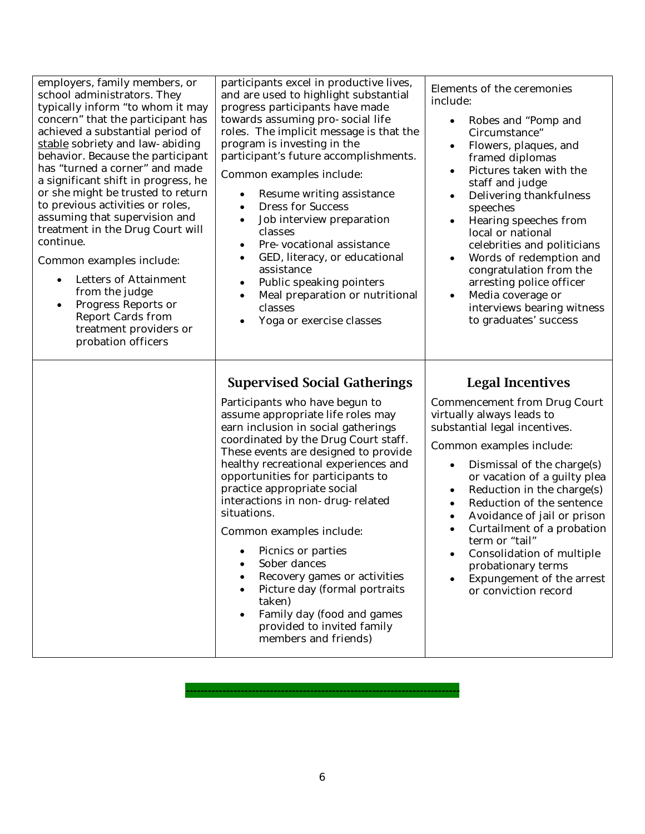| employers, family members, or<br>school administrators. They<br>typically inform "to whom it may<br>concern" that the participant has<br>achieved a substantial period of<br>stable sobriety and law-abiding<br>behavior. Because the participant<br>has "turned a corner" and made<br>a significant shift in progress, he<br>or she might be trusted to return<br>to previous activities or roles,<br>assuming that supervision and<br>treatment in the Drug Court will<br>continue.<br>Common examples include:<br><b>Letters of Attainment</b><br>$\bullet$<br>from the judge<br>Progress Reports or<br>$\bullet$<br><b>Report Cards from</b><br>treatment providers or<br>probation officers | participants excel in productive lives,<br>and are used to highlight substantial<br>progress participants have made<br>towards assuming pro-social life<br>roles. The implicit message is that the<br>program is investing in the<br>participant's future accomplishments.<br>Common examples include:<br>Resume writing assistance<br>$\bullet$<br><b>Dress for Success</b><br>$\bullet$<br>Job interview preparation<br>$\bullet$<br>classes<br>Pre-vocational assistance<br>GED, literacy, or educational<br>٠<br>assistance<br>Public speaking pointers<br>Meal preparation or nutritional<br>classes<br>Yoga or exercise classes | Elements of the ceremonies<br>include:<br>Robes and "Pomp and<br>$\bullet$<br>Circumstance"<br>Flowers, plaques, and<br>$\bullet$<br>framed diplomas<br>Pictures taken with the<br>staff and judge<br>Delivering thankfulness<br>speeches<br>Hearing speeches from<br>$\bullet$<br>local or national<br>celebrities and politicians<br>Words of redemption and<br>congratulation from the<br>arresting police officer<br>Media coverage or<br>interviews bearing witness<br>to graduates' success                             |
|--------------------------------------------------------------------------------------------------------------------------------------------------------------------------------------------------------------------------------------------------------------------------------------------------------------------------------------------------------------------------------------------------------------------------------------------------------------------------------------------------------------------------------------------------------------------------------------------------------------------------------------------------------------------------------------------------|---------------------------------------------------------------------------------------------------------------------------------------------------------------------------------------------------------------------------------------------------------------------------------------------------------------------------------------------------------------------------------------------------------------------------------------------------------------------------------------------------------------------------------------------------------------------------------------------------------------------------------------|-------------------------------------------------------------------------------------------------------------------------------------------------------------------------------------------------------------------------------------------------------------------------------------------------------------------------------------------------------------------------------------------------------------------------------------------------------------------------------------------------------------------------------|
|                                                                                                                                                                                                                                                                                                                                                                                                                                                                                                                                                                                                                                                                                                  | <b>Supervised Social Gatherings</b><br>Participants who have begun to<br>assume appropriate life roles may<br>earn inclusion in social gatherings<br>coordinated by the Drug Court staff.<br>These events are designed to provide<br>healthy recreational experiences and<br>opportunities for participants to<br>practice appropriate social<br>interactions in non-drug-related<br>situations.<br>Common examples include:<br>Picnics or parties<br>Sober dances<br>Recovery games or activities<br>Picture day (formal portraits<br>taken)<br>Family day (food and games<br>provided to invited family<br>members and friends)     | <b>Legal Incentives</b><br><b>Commencement from Drug Court</b><br>virtually always leads to<br>substantial legal incentives.<br>Common examples include:<br>Dismissal of the charge(s)<br>$\bullet$<br>or vacation of a guilty plea<br>Reduction in the charge(s)<br>$\bullet$<br>Reduction of the sentence<br>$\bullet$<br>Avoidance of jail or prison<br>Curtailment of a probation<br>term or "tail"<br><b>Consolidation of multiple</b><br>probationary terms<br><b>Expungement of the arrest</b><br>or conviction record |

6

*---------------------------------------------------------------------------*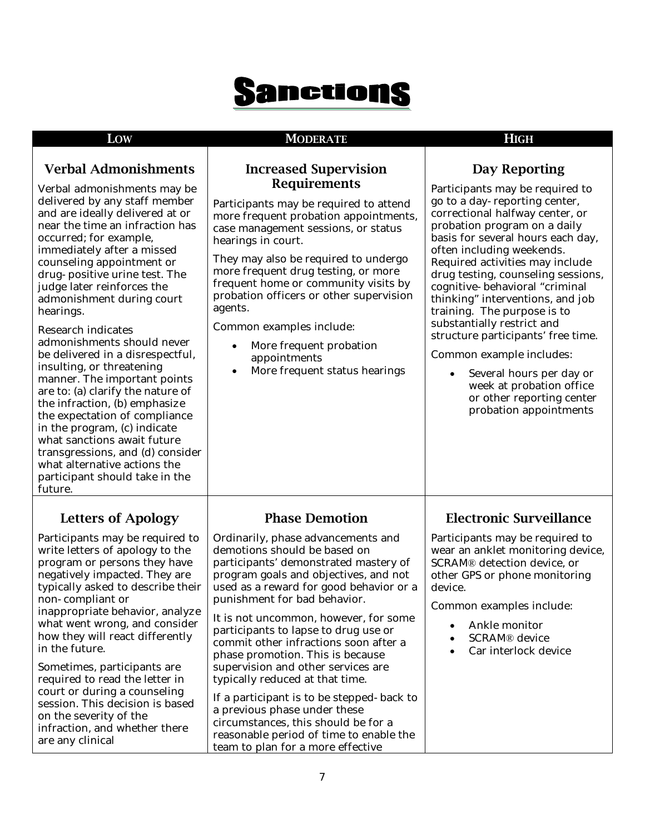# **Sanctions**

#### **LOW MODERATE HIGH**

#### **Verbal Admonishments**

Verbal admonishments may be delivered by any staff member and are ideally delivered at or near the time an infraction has occurred; for example, immediately after a missed counseling appointment or drug-positive urine test. The judge later reinforces the admonishment during court hearings.

Research indicates admonishments should never be delivered in a disrespectful, insulting, or threatening manner. The important points are to: (a) clarify the nature of the infraction, (b) emphasize the expectation of compliance in the program, (c) indicate what sanctions await future transgressions, and (d) consider what alternative actions the participant should take in the future.

### **Letters of Apology**

Participants may be required to write letters of apology to the program or persons they have negatively impacted. They are typically asked to describe their non-compliant or inappropriate behavior, analyze what went wrong, and consider how they will react differently in the future.

Sometimes, participants are required to read the letter in court or during a counseling session. This decision is based on the severity of the infraction, and whether there are any clinical

#### **Increased Supervision Requirements**

Participants may be required to attend more frequent probation appointments, case management sessions, or status hearings in court.

They may also be required to undergo more frequent drug testing, or more frequent home or community visits by probation officers or other supervision agents.

Common examples include:

- More frequent probation appointments
- More frequent status hearings

### **Day Reporting**

Participants may be required to go to a day-reporting center, correctional halfway center, or probation program on a daily basis for several hours each day, often including weekends. Required activities may include drug testing, counseling sessions, cognitive-behavioral "criminal thinking" interventions, and job training. The purpose is to substantially restrict and structure participants' free time.

Common example includes:

• Several hours per day or week at probation office or other reporting center probation appointments

#### **Phase Demotion**

Ordinarily, phase advancements and demotions should be based on participants' demonstrated mastery of program goals and objectives, and not used as a reward for good behavior or a punishment for bad behavior.

It is not uncommon, however, for some participants to lapse to drug use or commit other infractions soon after a phase promotion. This is because supervision and other services are typically reduced at that time.

If a participant is to be stepped-back to a previous phase under these circumstances, this should be for a reasonable period of time to enable the team to plan for a more effective

### **Electronic Surveillance**

Participants may be required to wear an anklet monitoring device, SCRAM® detection device, or other GPS or phone monitoring device.

Common examples include:

- Ankle monitor
- SCRAM® device
- Car interlock device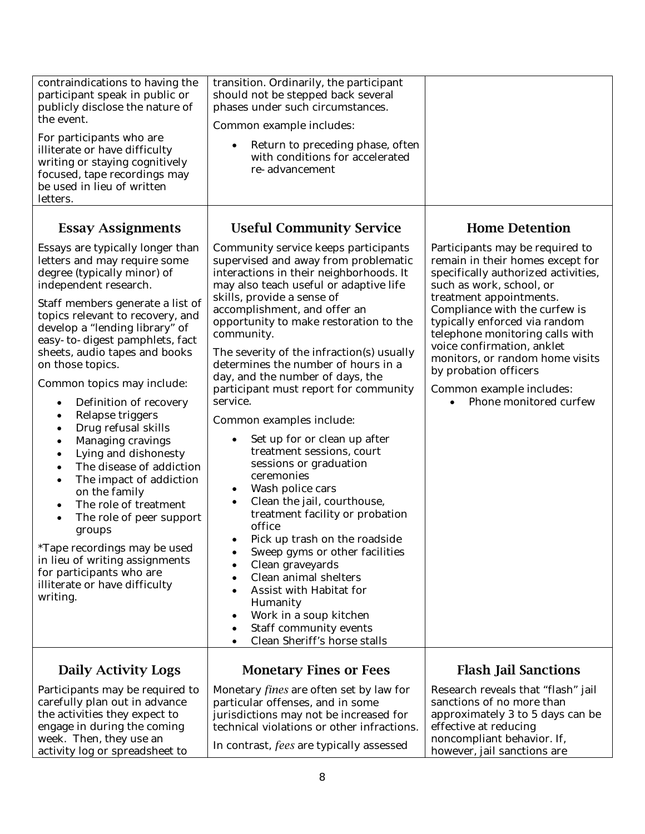| contraindications to having the<br>participant speak in public or<br>publicly disclose the nature of<br>the event.<br>For participants who are<br>illiterate or have difficulty<br>writing or staying cognitively<br>focused, tape recordings may<br>be used in lieu of written<br>letters.                                                                                                                                                                                                                                                                                                                                                                                                                                                                                                                                                              | transition. Ordinarily, the participant<br>should not be stepped back several<br>phases under such circumstances.<br>Common example includes:<br>Return to preceding phase, often<br>with conditions for accelerated<br>re-advancement                                                                                                                                                                                                                                                                                                                                                                                                                                                                                                                                                                                                                                                                                                                                    |                                                                                                                                                                                                                                                                                                                                                                                                                        |
|----------------------------------------------------------------------------------------------------------------------------------------------------------------------------------------------------------------------------------------------------------------------------------------------------------------------------------------------------------------------------------------------------------------------------------------------------------------------------------------------------------------------------------------------------------------------------------------------------------------------------------------------------------------------------------------------------------------------------------------------------------------------------------------------------------------------------------------------------------|---------------------------------------------------------------------------------------------------------------------------------------------------------------------------------------------------------------------------------------------------------------------------------------------------------------------------------------------------------------------------------------------------------------------------------------------------------------------------------------------------------------------------------------------------------------------------------------------------------------------------------------------------------------------------------------------------------------------------------------------------------------------------------------------------------------------------------------------------------------------------------------------------------------------------------------------------------------------------|------------------------------------------------------------------------------------------------------------------------------------------------------------------------------------------------------------------------------------------------------------------------------------------------------------------------------------------------------------------------------------------------------------------------|
| <b>Essay Assignments</b>                                                                                                                                                                                                                                                                                                                                                                                                                                                                                                                                                                                                                                                                                                                                                                                                                                 | <b>Useful Community Service</b>                                                                                                                                                                                                                                                                                                                                                                                                                                                                                                                                                                                                                                                                                                                                                                                                                                                                                                                                           | <b>Home Detention</b>                                                                                                                                                                                                                                                                                                                                                                                                  |
| Essays are typically longer than<br>letters and may require some<br>degree (typically minor) of<br>independent research.<br>Staff members generate a list of<br>topics relevant to recovery, and<br>develop a "lending library" of<br>easy-to-digest pamphlets, fact<br>sheets, audio tapes and books<br>on those topics.<br>Common topics may include:<br>Definition of recovery<br>$\bullet$<br>Relapse triggers<br>٠<br>Drug refusal skills<br>٠<br>Managing cravings<br>٠<br>Lying and dishonesty<br>$\bullet$<br>The disease of addiction<br>$\bullet$<br>The impact of addiction<br>$\bullet$<br>on the family<br>The role of treatment<br>$\bullet$<br>The role of peer support<br>$\bullet$<br>groups<br>*Tape recordings may be used<br>in lieu of writing assignments<br>for participants who are<br>illiterate or have difficulty<br>writing. | Community service keeps participants<br>supervised and away from problematic<br>interactions in their neighborhoods. It<br>may also teach useful or adaptive life<br>skills, provide a sense of<br>accomplishment, and offer an<br>opportunity to make restoration to the<br>community.<br>The severity of the infraction(s) usually<br>determines the number of hours in a<br>day, and the number of days, the<br>participant must report for community<br>service.<br>Common examples include:<br>Set up for or clean up after<br>treatment sessions, court<br>sessions or graduation<br>ceremonies<br>Wash police cars<br>Clean the jail, courthouse,<br>treatment facility or probation<br>office<br>Pick up trash on the roadside<br>Sweep gyms or other facilities<br>Clean graveyards<br>Clean animal shelters<br>Assist with Habitat for<br>Humanity<br>Work in a soup kitchen<br>$\bullet$<br><b>Staff community events</b><br>٠<br>Clean Sheriff's horse stalls | Participants may be required to<br>remain in their homes except for<br>specifically authorized activities,<br>such as work, school, or<br>treatment appointments.<br>Compliance with the curfew is<br>typically enforced via random<br>telephone monitoring calls with<br>voice confirmation, anklet<br>monitors, or random home visits<br>by probation officers<br>Common example includes:<br>Phone monitored curfew |
| <b>Daily Activity Logs</b>                                                                                                                                                                                                                                                                                                                                                                                                                                                                                                                                                                                                                                                                                                                                                                                                                               | <b>Monetary Fines or Fees</b>                                                                                                                                                                                                                                                                                                                                                                                                                                                                                                                                                                                                                                                                                                                                                                                                                                                                                                                                             | <b>Flash Jail Sanctions</b>                                                                                                                                                                                                                                                                                                                                                                                            |
| Participants may be required to<br>carefully plan out in advance<br>the activities they expect to<br>engage in during the coming<br>week. Then, they use an<br>activity log or spreadsheet to                                                                                                                                                                                                                                                                                                                                                                                                                                                                                                                                                                                                                                                            | Monetary <i>fines</i> are often set by law for<br>particular offenses, and in some<br>jurisdictions may not be increased for<br>technical violations or other infractions.<br>In contrast, fees are typically assessed                                                                                                                                                                                                                                                                                                                                                                                                                                                                                                                                                                                                                                                                                                                                                    | Research reveals that "flash" jail<br>sanctions of no more than<br>approximately 3 to 5 days can be<br>effective at reducing<br>noncompliant behavior. If,<br>however, jail sanctions are                                                                                                                                                                                                                              |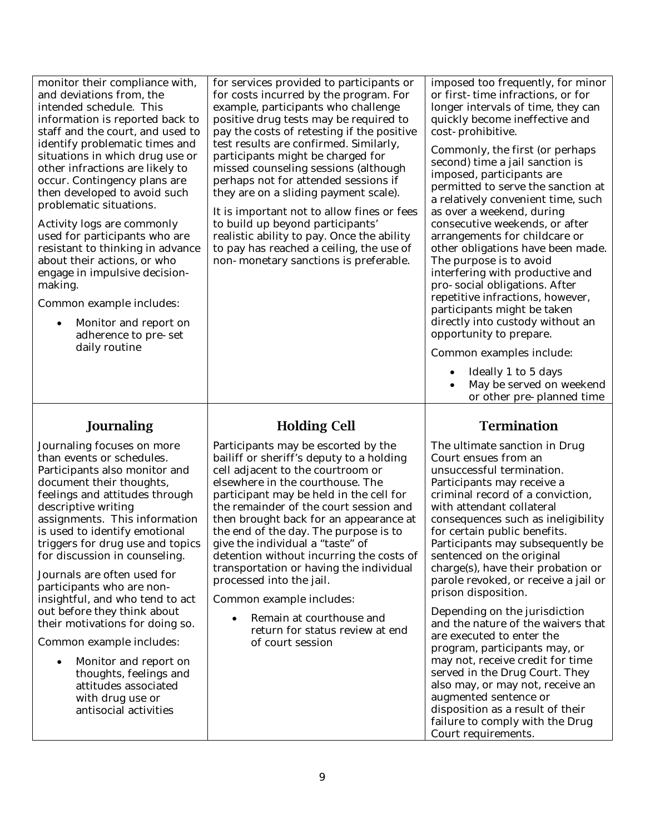| monitor their compliance with,<br>and deviations from, the<br>intended schedule. This<br>information is reported back to<br>staff and the court, and used to<br>identify problematic times and<br>situations in which drug use or<br>other infractions are likely to<br>occur. Contingency plans are<br>then developed to avoid such<br>problematic situations.<br>Activity logs are commonly<br>used for participants who are<br>resistant to thinking in advance<br>about their actions, or who<br>engage in impulsive decision-<br>making.<br>Common example includes:<br>Monitor and report on<br>$\bullet$<br>adherence to pre-set<br>daily routine | for services provided to participants or<br>for costs incurred by the program. For<br>example, participants who challenge<br>positive drug tests may be required to<br>pay the costs of retesting if the positive<br>test results are confirmed. Similarly,<br>participants might be charged for<br>missed counseling sessions (although<br>perhaps not for attended sessions if<br>they are on a sliding payment scale).<br>It is important not to allow fines or fees<br>to build up beyond participants'<br>realistic ability to pay. Once the ability<br>to pay has reached a ceiling, the use of<br>non-monetary sanctions is preferable. | imposed too frequently, for minor<br>or first-time infractions, or for<br>longer intervals of time, they can<br>quickly become ineffective and<br>cost-prohibitive.<br>Commonly, the first (or perhaps<br>second) time a jail sanction is<br>imposed, participants are<br>permitted to serve the sanction at<br>a relatively convenient time, such<br>as over a weekend, during<br>consecutive weekends, or after<br>arrangements for childcare or<br>other obligations have been made.<br>The purpose is to avoid<br>interfering with productive and<br>pro-social obligations. After<br>repetitive infractions, however,<br>participants might be taken<br>directly into custody without an<br>opportunity to prepare.<br>Common examples include:<br>Ideally 1 to 5 days<br>May be served on weekend |
|----------------------------------------------------------------------------------------------------------------------------------------------------------------------------------------------------------------------------------------------------------------------------------------------------------------------------------------------------------------------------------------------------------------------------------------------------------------------------------------------------------------------------------------------------------------------------------------------------------------------------------------------------------|------------------------------------------------------------------------------------------------------------------------------------------------------------------------------------------------------------------------------------------------------------------------------------------------------------------------------------------------------------------------------------------------------------------------------------------------------------------------------------------------------------------------------------------------------------------------------------------------------------------------------------------------|---------------------------------------------------------------------------------------------------------------------------------------------------------------------------------------------------------------------------------------------------------------------------------------------------------------------------------------------------------------------------------------------------------------------------------------------------------------------------------------------------------------------------------------------------------------------------------------------------------------------------------------------------------------------------------------------------------------------------------------------------------------------------------------------------------|
|                                                                                                                                                                                                                                                                                                                                                                                                                                                                                                                                                                                                                                                          |                                                                                                                                                                                                                                                                                                                                                                                                                                                                                                                                                                                                                                                | or other pre-planned time                                                                                                                                                                                                                                                                                                                                                                                                                                                                                                                                                                                                                                                                                                                                                                               |
| <b>Journaling</b>                                                                                                                                                                                                                                                                                                                                                                                                                                                                                                                                                                                                                                        | <b>Holding Cell</b>                                                                                                                                                                                                                                                                                                                                                                                                                                                                                                                                                                                                                            | <b>Termination</b>                                                                                                                                                                                                                                                                                                                                                                                                                                                                                                                                                                                                                                                                                                                                                                                      |
| Journaling focuses on more<br>than events or schedules.<br>Participants also monitor and<br>document their thoughts,<br>feelings and attitudes through<br>descriptive writing<br>assignments. This information<br>is used to identify emotional<br>triggers for drug use and topics<br>for discussion in counseling.<br>Journals are often used for<br>participants who are non-<br>insightful, and who tend to act<br>out before they think about<br>their motivations for doing so.<br>Common example includes:<br>Monitor and report on<br>$\bullet$<br>thoughts, feelings and<br>attitudes associated<br>with drug use or<br>antisocial activities   | Participants may be escorted by the<br>bailiff or sheriff's deputy to a holding<br>cell adjacent to the courtroom or<br>elsewhere in the courthouse. The<br>participant may be held in the cell for<br>the remainder of the court session and<br>then brought back for an appearance at<br>the end of the day. The purpose is to<br>give the individual a "taste" of<br>detention without incurring the costs of<br>transportation or having the individual<br>processed into the jail.<br>Common example includes:<br>Remain at courthouse and<br>$\bullet$<br>return for status review at end<br>of court session                            | The ultimate sanction in Drug<br>Court ensues from an<br>unsuccessful termination.<br>Participants may receive a<br>criminal record of a conviction,<br>with attendant collateral<br>consequences such as ineligibility<br>for certain public benefits.<br>Participants may subsequently be<br>sentenced on the original<br>charge(s), have their probation or<br>parole revoked, or receive a jail or<br>prison disposition.<br>Depending on the jurisdiction<br>and the nature of the waivers that<br>are executed to enter the<br>program, participants may, or<br>may not, receive credit for time<br>served in the Drug Court. They<br>also may, or may not, receive an<br>augmented sentence or<br>disposition as a result of their<br>failure to comply with the Drug<br>Court requirements.     |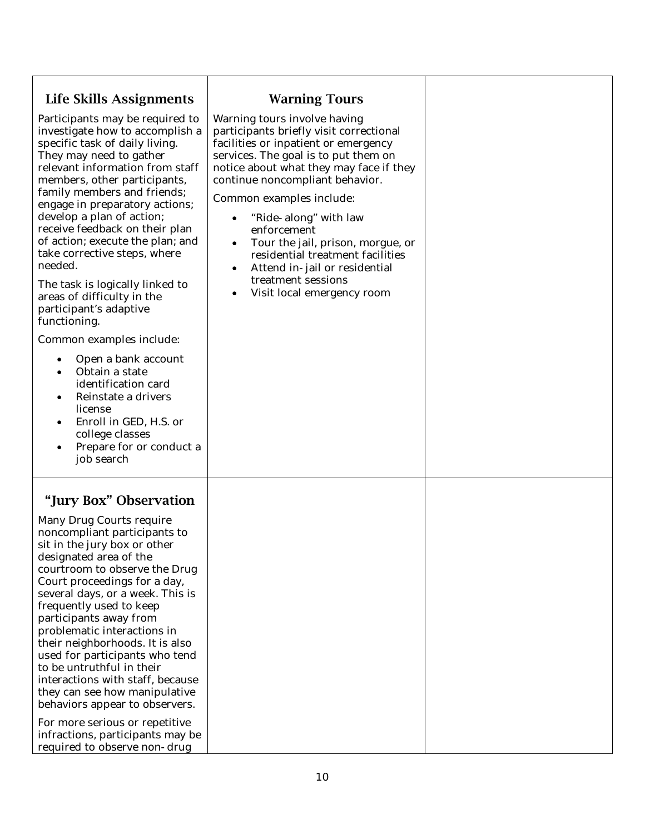| Life Skills Assignments                                                                                                                                                                                                                                                                                                                                                                                                                                                                                                                                                                                                                                                                                                                                                                                            | <b>Warning Tours</b>                                                                                                                                                                                                                                                                                                                                                                                                                                                                              |  |
|--------------------------------------------------------------------------------------------------------------------------------------------------------------------------------------------------------------------------------------------------------------------------------------------------------------------------------------------------------------------------------------------------------------------------------------------------------------------------------------------------------------------------------------------------------------------------------------------------------------------------------------------------------------------------------------------------------------------------------------------------------------------------------------------------------------------|---------------------------------------------------------------------------------------------------------------------------------------------------------------------------------------------------------------------------------------------------------------------------------------------------------------------------------------------------------------------------------------------------------------------------------------------------------------------------------------------------|--|
| Participants may be required to<br>investigate how to accomplish a<br>specific task of daily living.<br>They may need to gather<br>relevant information from staff<br>members, other participants,<br>family members and friends;<br>engage in preparatory actions;<br>develop a plan of action;<br>receive feedback on their plan<br>of action; execute the plan; and<br>take corrective steps, where<br>needed.<br>The task is logically linked to<br>areas of difficulty in the<br>participant's adaptive<br>functioning.<br>Common examples include:<br>Open a bank account<br>$\bullet$<br>Obtain a state<br>$\bullet$<br>identification card<br>Reinstate a drivers<br>$\bullet$<br>license<br>Enroll in GED, H.S. or<br>$\bullet$<br>college classes<br>Prepare for or conduct a<br>$\bullet$<br>job search | Warning tours involve having<br>participants briefly visit correctional<br>facilities or inpatient or emergency<br>services. The goal is to put them on<br>notice about what they may face if they<br>continue noncompliant behavior.<br>Common examples include:<br>"Ride-along" with law<br>enforcement<br>Tour the jail, prison, morgue, or<br>$\bullet$<br>residential treatment facilities<br>Attend in-jail or residential<br>$\bullet$<br>treatment sessions<br>Visit local emergency room |  |
| "Jury Box" Observation<br><b>Many Drug Courts require</b><br>noncompliant participants to<br>sit in the jury box or other<br>designated area of the<br>courtroom to observe the Drug<br>Court proceedings for a day,<br>several days, or a week. This is<br>frequently used to keep<br>participants away from<br>problematic interactions in<br>their neighborhoods. It is also<br>used for participants who tend<br>to be untruthful in their<br>interactions with staff, because<br>they can see how manipulative<br>behaviors appear to observers.<br>For more serious or repetitive<br>infractions, participants may be<br>required to observe non-drug                                                                                                                                                        |                                                                                                                                                                                                                                                                                                                                                                                                                                                                                                   |  |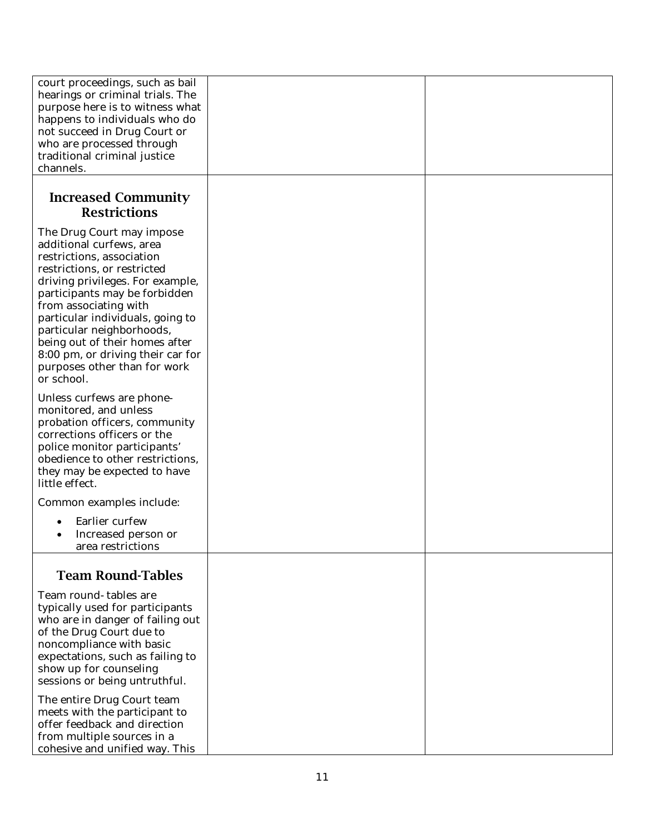| court proceedings, such as bail<br>hearings or criminal trials. The<br>purpose here is to witness what<br>happens to individuals who do<br>not succeed in Drug Court or<br>who are processed through<br>traditional criminal justice<br>channels.                                                                                                                                                     |  |
|-------------------------------------------------------------------------------------------------------------------------------------------------------------------------------------------------------------------------------------------------------------------------------------------------------------------------------------------------------------------------------------------------------|--|
| <b>Increased Community</b><br><b>Restrictions</b>                                                                                                                                                                                                                                                                                                                                                     |  |
| The Drug Court may impose<br>additional curfews, area<br>restrictions, association<br>restrictions, or restricted<br>driving privileges. For example,<br>participants may be forbidden<br>from associating with<br>particular individuals, going to<br>particular neighborhoods,<br>being out of their homes after<br>8:00 pm, or driving their car for<br>purposes other than for work<br>or school. |  |
| Unless curfews are phone-<br>monitored, and unless<br>probation officers, community<br>corrections officers or the<br>police monitor participants'<br>obedience to other restrictions,<br>they may be expected to have<br>little effect.                                                                                                                                                              |  |
| Common examples include:                                                                                                                                                                                                                                                                                                                                                                              |  |
| Earlier curfew<br>Increased person or<br>area restrictions                                                                                                                                                                                                                                                                                                                                            |  |
| <b>Team Round-Tables</b>                                                                                                                                                                                                                                                                                                                                                                              |  |
| Team round-tables are<br>typically used for participants<br>who are in danger of failing out<br>of the Drug Court due to<br>noncompliance with basic<br>expectations, such as failing to<br>show up for counseling<br>sessions or being untruthful.                                                                                                                                                   |  |
| The entire Drug Court team<br>meets with the participant to<br>offer feedback and direction<br>from multiple sources in a<br>cohesive and unified way. This                                                                                                                                                                                                                                           |  |